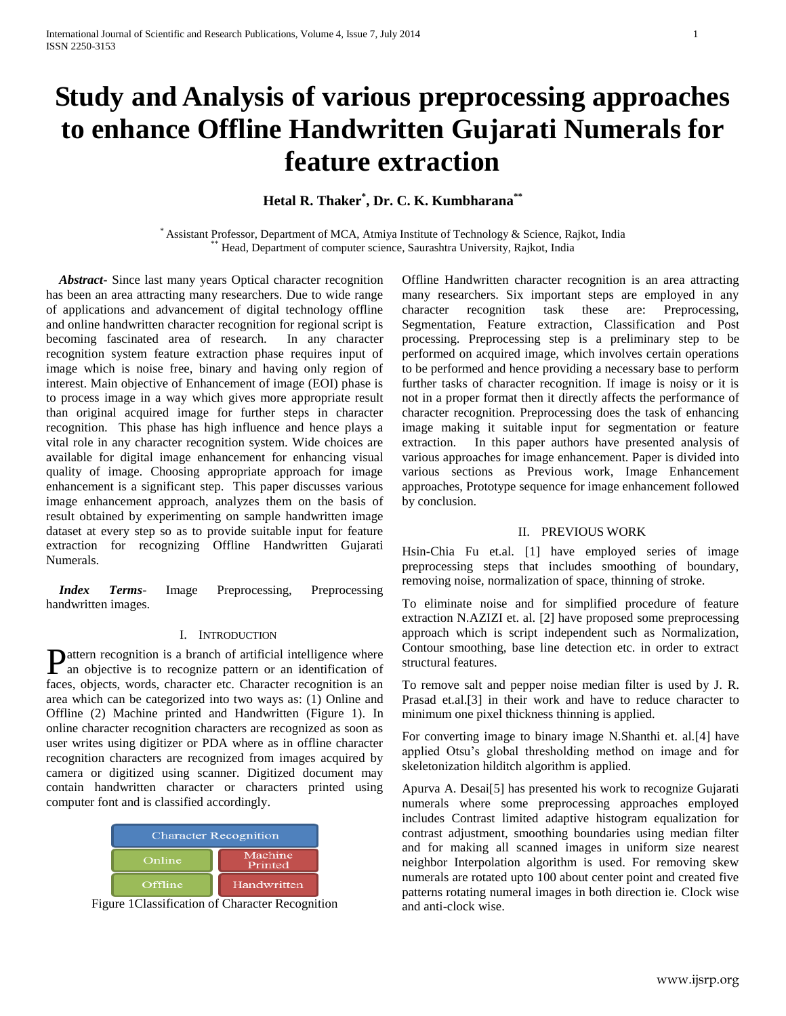# **Study and Analysis of various preprocessing approaches to enhance Offline Handwritten Gujarati Numerals for feature extraction**

## **Hetal R. Thaker\* , Dr. C. K. Kumbharana\*\***

\* Assistant Professor, Department of MCA, Atmiya Institute of Technology & Science, Rajkot, India \*\* Head, Department of computer science, Saurashtra University, Rajkot, India

 *Abstract***-** Since last many years Optical character recognition has been an area attracting many researchers. Due to wide range of applications and advancement of digital technology offline and online handwritten character recognition for regional script is becoming fascinated area of research. In any character recognition system feature extraction phase requires input of image which is noise free, binary and having only region of interest. Main objective of Enhancement of image (EOI) phase is to process image in a way which gives more appropriate result than original acquired image for further steps in character recognition. This phase has high influence and hence plays a vital role in any character recognition system. Wide choices are available for digital image enhancement for enhancing visual quality of image. Choosing appropriate approach for image enhancement is a significant step. This paper discusses various image enhancement approach, analyzes them on the basis of result obtained by experimenting on sample handwritten image dataset at every step so as to provide suitable input for feature extraction for recognizing Offline Handwritten Gujarati Numerals.

 *Index Terms*- Image Preprocessing, Preprocessing handwritten images.

## I. INTRODUCTION

attern recognition is a branch of artificial intelligence where **P**attern recognition is a branch of artificial intelligence where<br>an objective is to recognize pattern or an identification of faces, objects, words, character etc. Character recognition is an area which can be categorized into two ways as: (1) Online and Offline (2) Machine printed and Handwritten (Figure 1). In online character recognition characters are recognized as soon as user writes using digitizer or PDA where as in offline character recognition characters are recognized from images acquired by camera or digitized using scanner. Digitized document may contain handwritten character or characters printed using computer font and is classified accordingly.

| <b>Character Recognition</b> |                    |
|------------------------------|--------------------|
| Online                       | Machine<br>Printed |
| Offline                      | Handwritten        |

Figure 1Classification of Character Recognition

Offline Handwritten character recognition is an area attracting many researchers. Six important steps are employed in any character recognition task these are: Preprocessing, Segmentation, Feature extraction, Classification and Post processing. Preprocessing step is a preliminary step to be performed on acquired image, which involves certain operations to be performed and hence providing a necessary base to perform further tasks of character recognition. If image is noisy or it is not in a proper format then it directly affects the performance of character recognition. Preprocessing does the task of enhancing image making it suitable input for segmentation or feature extraction. In this paper authors have presented analysis of various approaches for image enhancement. Paper is divided into various sections as Previous work, Image Enhancement approaches, Prototype sequence for image enhancement followed by conclusion.

#### II. PREVIOUS WORK

Hsin-Chia Fu et.al. [1] have employed series of image preprocessing steps that includes smoothing of boundary, removing noise, normalization of space, thinning of stroke.

To eliminate noise and for simplified procedure of feature extraction N.AZIZI et. al. [2] have proposed some preprocessing approach which is script independent such as Normalization, Contour smoothing, base line detection etc. in order to extract structural features.

To remove salt and pepper noise median filter is used by J. R. Prasad et.al.[3] in their work and have to reduce character to minimum one pixel thickness thinning is applied.

For converting image to binary image N.Shanthi et. al.[4] have applied Otsu's global thresholding method on image and for skeletonization hilditch algorithm is applied.

Apurva A. Desai[5] has presented his work to recognize Gujarati numerals where some preprocessing approaches employed includes Contrast limited adaptive histogram equalization for contrast adjustment, smoothing boundaries using median filter and for making all scanned images in uniform size nearest neighbor Interpolation algorithm is used. For removing skew numerals are rotated upto 100 about center point and created five patterns rotating numeral images in both direction ie. Clock wise and anti-clock wise.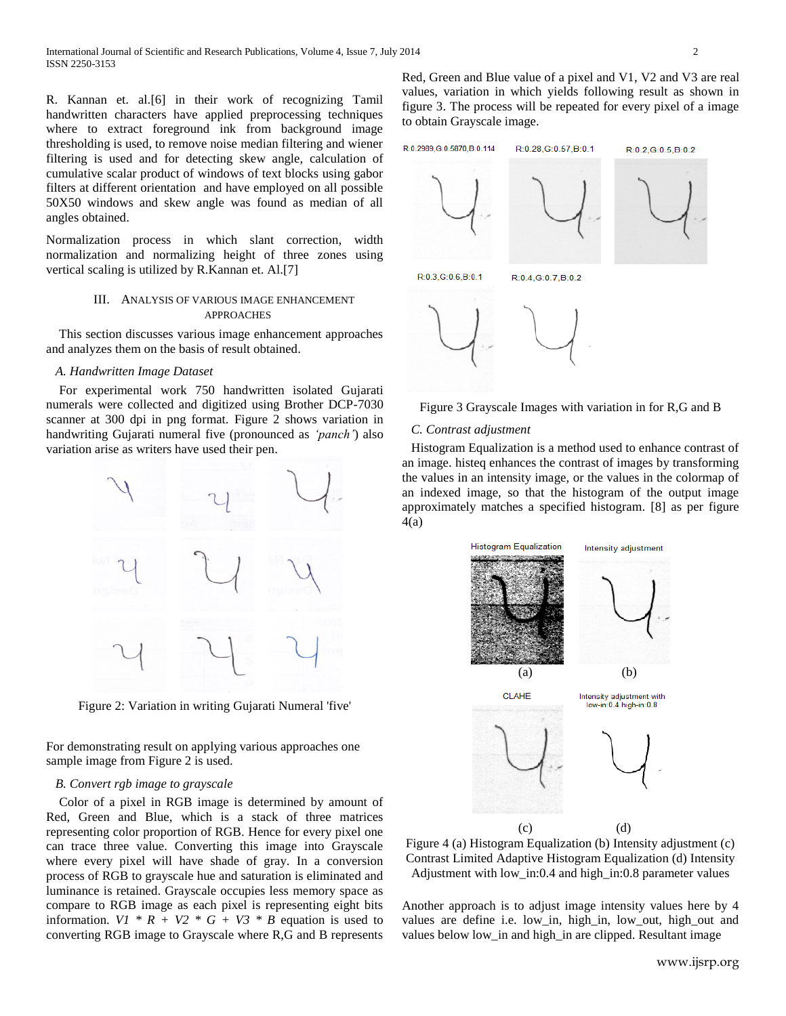R. Kannan et. al.[6] in their work of recognizing Tamil handwritten characters have applied preprocessing techniques where to extract foreground ink from background image thresholding is used, to remove noise median filtering and wiener filtering is used and for detecting skew angle, calculation of cumulative scalar product of windows of text blocks using gabor filters at different orientation and have employed on all possible 50X50 windows and skew angle was found as median of all angles obtained.

Normalization process in which slant correction, width normalization and normalizing height of three zones using vertical scaling is utilized by R.Kannan et. Al.[7]

### III. ANALYSIS OF VARIOUS IMAGE ENHANCEMENT APPROACHES

 This section discusses various image enhancement approaches and analyzes them on the basis of result obtained.

### *A. Handwritten Image Dataset*

 For experimental work 750 handwritten isolated Gujarati numerals were collected and digitized using Brother DCP-7030 scanner at 300 dpi in png format. Figure 2 shows variation in handwriting Gujarati numeral five (pronounced as *'panch'*) also variation arise as writers have used their pen.



Figure 2: Variation in writing Gujarati Numeral 'five'

For demonstrating result on applying various approaches one sample image from Figure 2 is used.

#### *B. Convert rgb image to grayscale*

 Color of a pixel in RGB image is determined by amount of Red, Green and Blue, which is a stack of three matrices representing color proportion of RGB. Hence for every pixel one can trace three value. Converting this image into Grayscale where every pixel will have shade of gray. In a conversion process of RGB to grayscale hue and saturation is eliminated and luminance is retained. Grayscale occupies less memory space as compare to RGB image as each pixel is representing eight bits information.  $VI * R + V2 * G + V3 * B$  equation is used to converting RGB image to Grayscale where R,G and B represents

Red, Green and Blue value of a pixel and V1, V2 and V3 are real values, variation in which yields following result as shown in figure 3. The process will be repeated for every pixel of a image to obtain Grayscale image.





## *C. Contrast adjustment*

Histogram Equalization is a method used to enhance contrast of an image. histeq enhances the contrast of images by transforming the values in an intensity image, or the values in the colormap of an indexed image, so that the histogram of the output image approximately matches a specified histogram. [8] as per figure 4(a)



Figure 4 (a) Histogram Equalization (b) Intensity adjustment (c) Contrast Limited Adaptive Histogram Equalization (d) Intensity Adjustment with low\_in:0.4 and high\_in:0.8 parameter values

Another approach is to adjust image intensity values here by 4 values are define i.e. low in, high in, low out, high out and values below low\_in and high\_in are clipped. Resultant image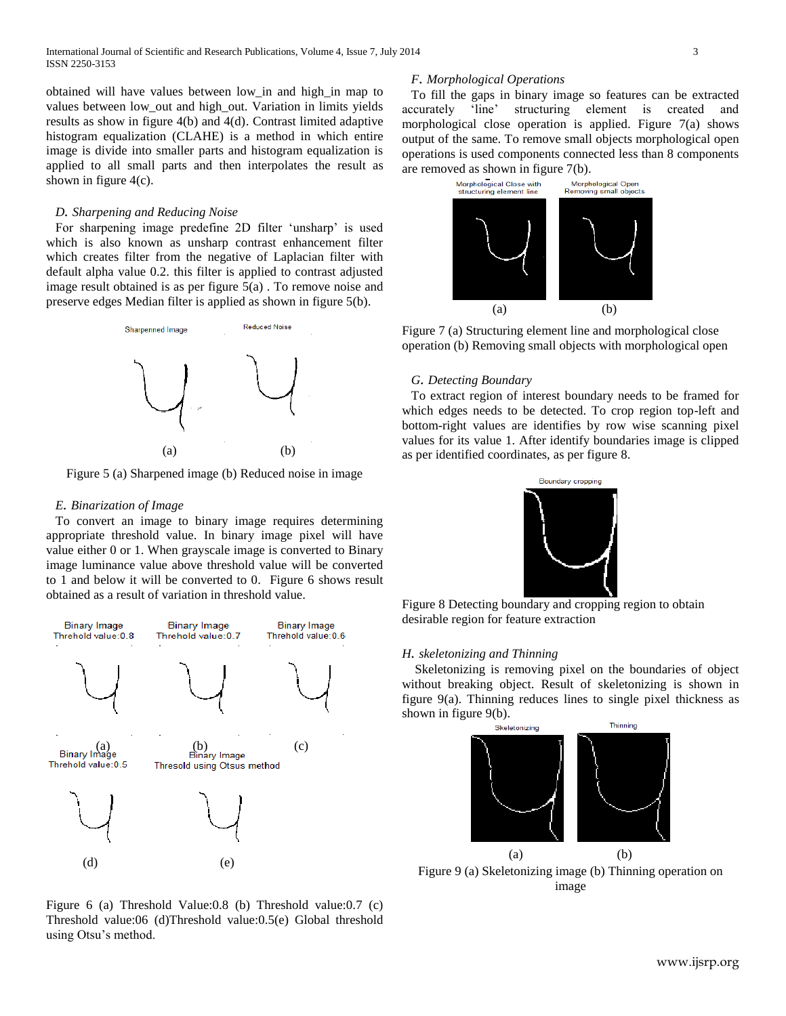obtained will have values between low\_in and high\_in map to values between low\_out and high\_out. Variation in limits yields results as show in figure 4(b) and 4(d). Contrast limited adaptive histogram equalization (CLAHE) is a method in which entire image is divide into smaller parts and histogram equalization is applied to all small parts and then interpolates the result as shown in figure 4(c).

#### *D. Sharpening and Reducing Noise*

For sharpening image predefine 2D filter 'unsharp' is used which is also known as unsharp contrast enhancement filter which creates filter from the negative of Laplacian filter with default alpha value 0.2. this filter is applied to contrast adjusted image result obtained is as per figure 5(a) . To remove noise and preserve edges Median filter is applied as shown in figure 5(b).



Figure 5 (a) Sharpened image (b) Reduced noise in image

#### *E. Binarization of Image*

To convert an image to binary image requires determining appropriate threshold value. In binary image pixel will have value either 0 or 1. When grayscale image is converted to Binary image luminance value above threshold value will be converted to 1 and below it will be converted to 0. Figure 6 shows result obtained as a result of variation in threshold value.



Figure 6 (a) Threshold Value:0.8 (b) Threshold value:0.7 (c) Threshold value:06 (d)Threshold value:0.5(e) Global threshold using Otsu's method.

#### *F. Morphological Operations*

To fill the gaps in binary image so features can be extracted accurately 'line' structuring element is created and morphological close operation is applied. Figure 7(a) shows output of the same. To remove small objects morphological open operations is used components connected less than 8 components are removed as shown in figure 7(b).



Figure 7 (a) Structuring element line and morphological close operation (b) Removing small objects with morphological open

#### *G. Detecting Boundary*

To extract region of interest boundary needs to be framed for which edges needs to be detected. To crop region top-left and bottom-right values are identifies by row wise scanning pixel values for its value 1. After identify boundaries image is clipped as per identified coordinates, as per figure 8.



Figure 8 Detecting boundary and cropping region to obtain desirable region for feature extraction

## *H. skeletonizing and Thinning*

 Skeletonizing is removing pixel on the boundaries of object without breaking object. Result of skeletonizing is shown in figure 9(a). Thinning reduces lines to single pixel thickness as shown in figure 9(b).



Figure 9 (a) Skeletonizing image (b) Thinning operation on image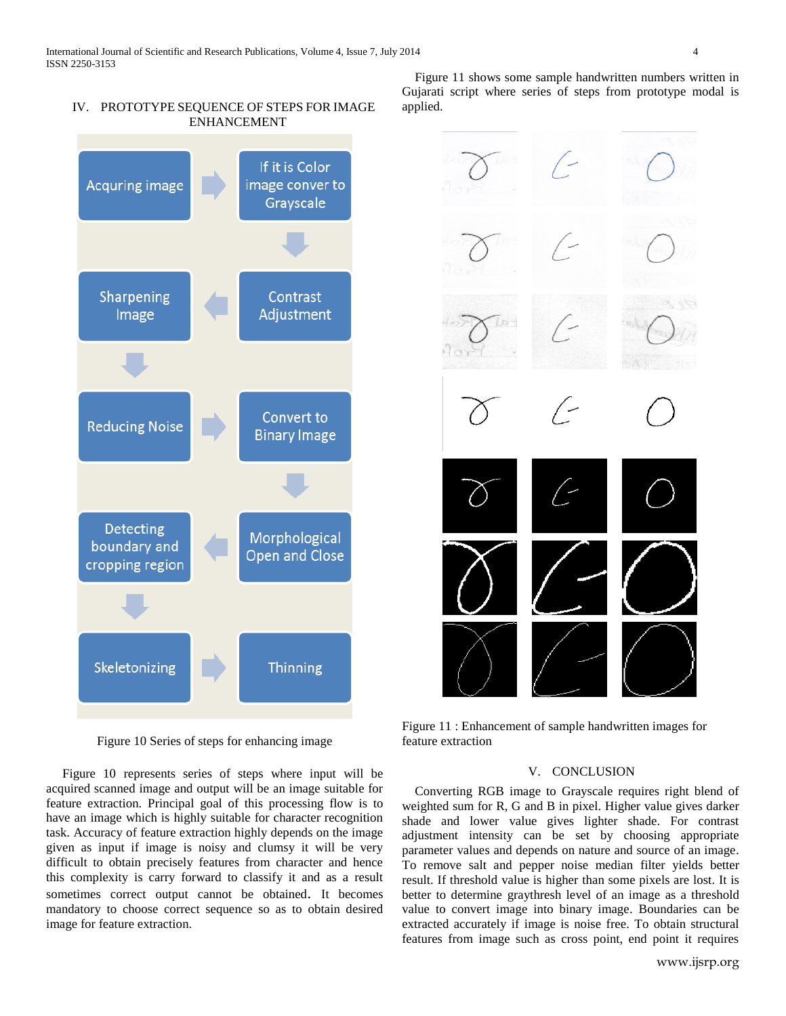## IV. PROTOTYPE SEQUENCE OF STEPS FOR IMAGE ENHANCEMENT



Figure 10 Series of steps for enhancing image

 Figure 10 represents series of steps where input will be acquired scanned image and output will be an image suitable for feature extraction. Principal goal of this processing flow is to have an image which is highly suitable for character recognition task. Accuracy of feature extraction highly depends on the image given as input if image is noisy and clumsy it will be very difficult to obtain precisely features from character and hence this complexity is carry forward to classify it and as a result sometimes correct output cannot be obtained. It becomes mandatory to choose correct sequence so as to obtain desired image for feature extraction.

 Figure 11 shows some sample handwritten numbers written in Gujarati script where series of steps from prototype modal is applied.



Figure 11 : Enhancement of sample handwritten images for feature extraction

#### V. CONCLUSION

 Converting RGB image to Grayscale requires right blend of weighted sum for R, G and B in pixel. Higher value gives darker shade and lower value gives lighter shade. For contrast adjustment intensity can be set by choosing appropriate parameter values and depends on nature and source of an image. To remove salt and pepper noise median filter yields better result. If threshold value is higher than some pixels are lost. It is better to determine graythresh level of an image as a threshold value to convert image into binary image. Boundaries can be extracted accurately if image is noise free. To obtain structural features from image such as cross point, end point it requires